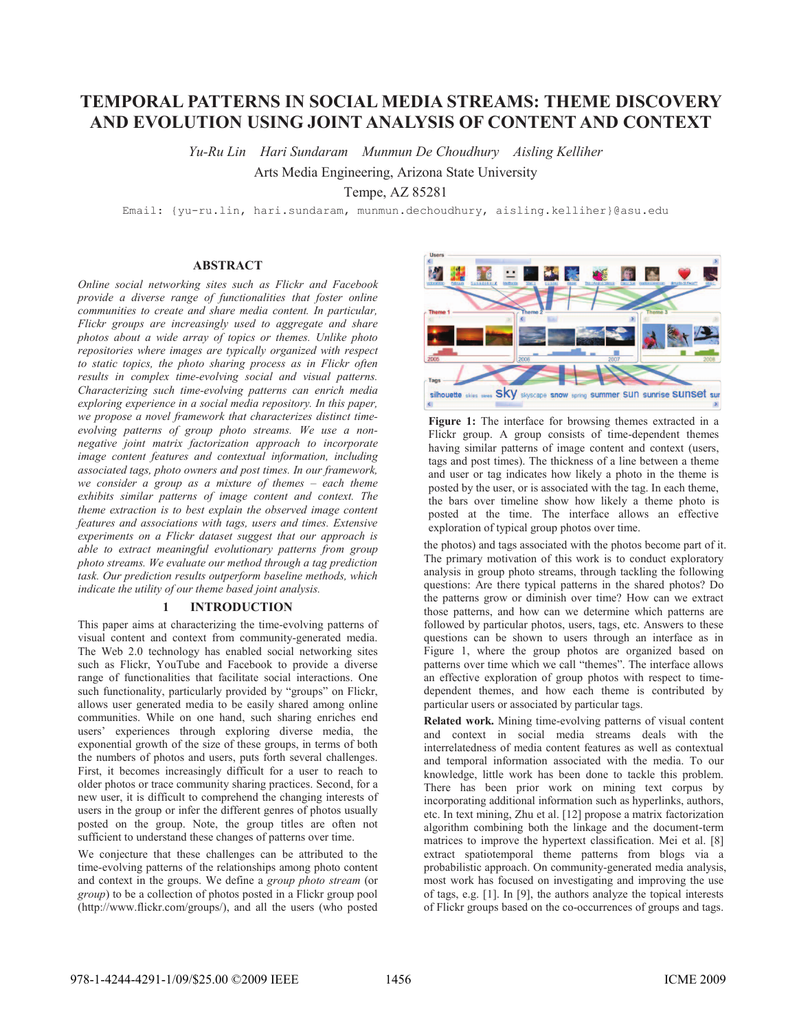# **TEMPORAL PATTERNS IN SOCIAL MEDIA STREAMS: THEME DISCOVERY AND EVOLUTION USING JOINT ANALYSIS OF CONTENT AND CONTEXT**

*Yu-Ru Lin Hari Sundaram Munmun De Choudhury Aisling Kelliher* 

Arts Media Engineering, Arizona State University

Tempe, AZ 85281

Email: {yu-ru.lin, hari.sundaram, munmun.dechoudhury, aisling.kelliher}@asu.edu

## **ABSTRACT**

*Online social networking sites such as Flickr and Facebook provide a diverse range of functionalities that foster online communities to create and share media content. In particular, Flickr groups are increasingly used to aggregate and share photos about a wide array of topics or themes. Unlike photo repositories where images are typically organized with respect to static topics, the photo sharing process as in Flickr often results in complex time-evolving social and visual patterns. Characterizing such time-evolving patterns can enrich media exploring experience in a social media repository. In this paper, we propose a novel framework that characterizes distinct timeevolving patterns of group photo streams. We use a nonnegative joint matrix factorization approach to incorporate image content features and contextual information, including associated tags, photo owners and post times. In our framework, we consider a group as a mixture of themes – each theme exhibits similar patterns of image content and context. The theme extraction is to best explain the observed image content features and associations with tags, users and times. Extensive experiments on a Flickr dataset suggest that our approach is able to extract meaningful evolutionary patterns from group photo streams. We evaluate our method through a tag prediction task. Our prediction results outperform baseline methods, which indicate the utility of our theme based joint analysis.* 

### **1 INTRODUCTION**

This paper aims at characterizing the time-evolving patterns of visual content and context from community-generated media. The Web 2.0 technology has enabled social networking sites such as Flickr, YouTube and Facebook to provide a diverse range of functionalities that facilitate social interactions. One such functionality, particularly provided by "groups" on Flickr, allows user generated media to be easily shared among online communities. While on one hand, such sharing enriches end users' experiences through exploring diverse media, the exponential growth of the size of these groups, in terms of both the numbers of photos and users, puts forth several challenges. First, it becomes increasingly difficult for a user to reach to older photos or trace community sharing practices. Second, for a new user, it is difficult to comprehend the changing interests of users in the group or infer the different genres of photos usually posted on the group. Note, the group titles are often not sufficient to understand these changes of patterns over time.

We conjecture that these challenges can be attributed to the time-evolving patterns of the relationships among photo content and context in the groups. We define a *group photo stream* (or *group*) to be a collection of photos posted in a Flickr group pool (http://www.flickr.com/groups/), and all the users (who posted



**Figure 1:** The interface for browsing themes extracted in a Flickr group. A group consists of time-dependent themes having similar patterns of image content and context (users, tags and post times). The thickness of a line between a theme and user or tag indicates how likely a photo in the theme is posted by the user, or is associated with the tag. In each theme, the bars over timeline show how likely a theme photo is posted at the time. The interface allows an effective exploration of typical group photos over time.

the photos) and tags associated with the photos become part of it. The primary motivation of this work is to conduct exploratory analysis in group photo streams, through tackling the following questions: Are there typical patterns in the shared photos? Do the patterns grow or diminish over time? How can we extract those patterns, and how can we determine which patterns are followed by particular photos, users, tags, etc. Answers to these questions can be shown to users through an interface as in Figure 1, where the group photos are organized based on patterns over time which we call "themes". The interface allows an effective exploration of group photos with respect to timedependent themes, and how each theme is contributed by particular users or associated by particular tags.

**Related work.** Mining time-evolving patterns of visual content and context in social media streams deals with the interrelatedness of media content features as well as contextual and temporal information associated with the media. To our knowledge, little work has been done to tackle this problem. There has been prior work on mining text corpus by incorporating additional information such as hyperlinks, authors, etc. In text mining, Zhu et al. [12] propose a matrix factorization algorithm combining both the linkage and the document-term matrices to improve the hypertext classification. Mei et al. [8] extract spatiotemporal theme patterns from blogs via a probabilistic approach. On community-generated media analysis, most work has focused on investigating and improving the use of tags, e.g. [1]. In [9], the authors analyze the topical interests of Flickr groups based on the co-occurrences of groups and tags.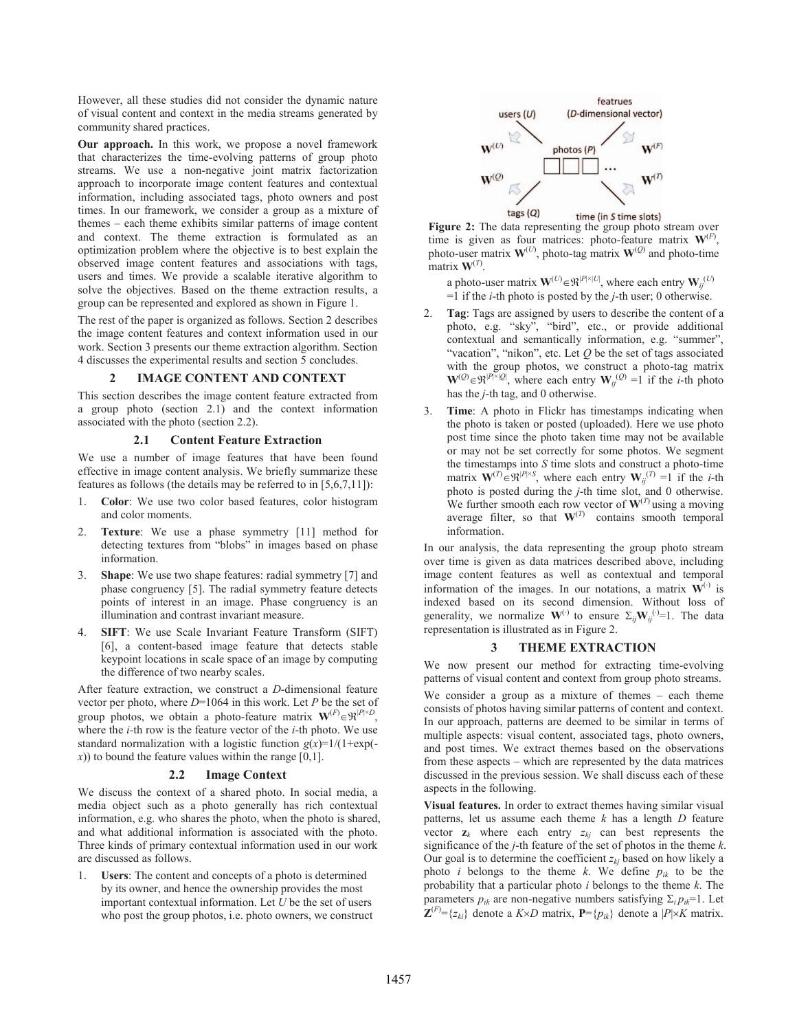However, all these studies did not consider the dynamic nature of visual content and context in the media streams generated by community shared practices.

**Our approach.** In this work, we propose a novel framework that characterizes the time-evolving patterns of group photo streams. We use a non-negative joint matrix factorization approach to incorporate image content features and contextual information, including associated tags, photo owners and post times. In our framework, we consider a group as a mixture of themes – each theme exhibits similar patterns of image content and context. The theme extraction is formulated as an optimization problem where the objective is to best explain the observed image content features and associations with tags, users and times. We provide a scalable iterative algorithm to solve the objectives. Based on the theme extraction results, a group can be represented and explored as shown in Figure 1.

The rest of the paper is organized as follows. Section 2 describes the image content features and context information used in our work. Section 3 presents our theme extraction algorithm. Section 4 discusses the experimental results and section 5 concludes.

#### **2 IMAGE CONTENT AND CONTEXT**

This section describes the image content feature extracted from a group photo (section 2.1) and the context information associated with the photo (section 2.2).

## **2.1 Content Feature Extraction**

We use a number of image features that have been found effective in image content analysis. We briefly summarize these features as follows (the details may be referred to in [5,6,7,11]):

- 1. **Color**: We use two color based features, color histogram and color moments.
- 2. **Texture**: We use a phase symmetry [11] method for detecting textures from "blobs" in images based on phase information.
- 3. **Shape**: We use two shape features: radial symmetry [7] and phase congruency [5]. The radial symmetry feature detects points of interest in an image. Phase congruency is an illumination and contrast invariant measure.
- 4. **SIFT**: We use Scale Invariant Feature Transform (SIFT) [6], a content-based image feature that detects stable keypoint locations in scale space of an image by computing the difference of two nearby scales.

After feature extraction, we construct a *D*-dimensional feature vector per photo, where *D*=1064 in this work. Let *P* be the set of group photos, we obtain a photo-feature matrix  $\mathbf{W}^{(F)} \in \mathbb{R}^{|P| \times D}$ , where the *i-*th row is the feature vector of the *i*-th photo. We use standard normalization with a logistic function  $g(x)=1/(1+\exp(-\frac{1}{x})$  $(x)$ ) to bound the feature values within the range [0,1].

#### **2.2 Image Context**

We discuss the context of a shared photo. In social media, a media object such as a photo generally has rich contextual information, e.g. who shares the photo, when the photo is shared, and what additional information is associated with the photo. Three kinds of primary contextual information used in our work are discussed as follows.

1. **Users**: The content and concepts of a photo is determined by its owner, and hence the ownership provides the most important contextual information. Let *U* be the set of users who post the group photos, i.e. photo owners, we construct



**Figure 2:** The data representing the group photo stream over time is given as four matrices: photo-feature matrix  $W^{(F)}$ , photo-user matrix  $W^{(U)}$ , photo-tag matrix  $W^{(Q)}$  and photo-time  $\sum_{n=1}^{\infty}$  **W**(*T*).

a photo-user matrix  $\mathbf{W}^{(U)} {\in} \mathfrak{R}^{|P| \times |U|}$ , where each entry  $\mathbf{W}_{ij}^{(U)}$ =1 if the *i*-th photo is posted by the *j*-th user; 0 otherwise.

- 2. **Tag**: Tags are assigned by users to describe the content of a photo, e.g. "sky", "bird", etc., or provide additional contextual and semantically information, e.g. "summer", "vacation", "nikon", etc. Let Q be the set of tags associated with the group photos, we construct a photo-tag matrix  $\mathbf{W}^{(Q)} \in \mathbb{R}^{|P| \times |Q|}$ , where each entry  $\mathbf{W}_{ij}^{(Q)} = 1$  if the *i*-th photo has the *j*-th tag, and 0 otherwise.
- 3. **Time**: A photo in Flickr has timestamps indicating when the photo is taken or posted (uploaded). Here we use photo post time since the photo taken time may not be available or may not be set correctly for some photos. We segment the timestamps into *S* time slots and construct a photo-time matrix  $\mathbf{W}^{(T)} \in \mathfrak{R}^{|P| \times S}$ , where each entry  $\mathbf{W}_{ij}^{(T)} = 1$  if the *i*-th photo is posted during the *j*-th time slot, and 0 otherwise. We further smooth each row vector of  $W^{(T)}$  using a moving average filter, so that  $W^{(T)}$  contains smooth temporal information.

In our analysis, the data representing the group photo stream over time is given as data matrices described above, including image content features as well as contextual and temporal information of the images. In our notations, a matrix  $\overline{W}^{(\cdot)}$  is indexed based on its second dimension. Without loss of generality, we normalize  $\mathbf{W}^{(\cdot)}$  to ensure  $\Sigma_{ij} \mathbf{W}_{ij}^{(\cdot)} = 1$ . The data representation is illustrated as in Figure 2.

## **3 THEME EXTRACTION**

We now present our method for extracting time-evolving patterns of visual content and context from group photo streams. We consider a group as a mixture of themes – each theme consists of photos having similar patterns of content and context. In our approach, patterns are deemed to be similar in terms of multiple aspects: visual content, associated tags, photo owners, and post times. We extract themes based on the observations from these aspects – which are represented by the data matrices discussed in the previous session. We shall discuss each of these aspects in the following.

**Visual features.** In order to extract themes having similar visual patterns, let us assume each theme *k* has a length *D* feature vector  $z_k$  where each entry  $z_{kj}$  can best represents the significance of the *j*-th feature of the set of photos in the theme *k*. Our goal is to determine the coefficient  $z_{ki}$  based on how likely a photo *i* belongs to the theme *k*. We define  $p_{ik}$  to be the probability that a particular photo *i* belongs to the theme *k*. The parameters  $p_{ik}$  are non-negative numbers satisfying  $\Sigma_i p_{ik} = 1$ . Let  $\mathbf{Z}^{(F)} = \{z_{ki}\}\$  denote a  $K \times D$  matrix,  $\mathbf{P} = \{p_{ik}\}\$  denote a  $|P| \times K$  matrix.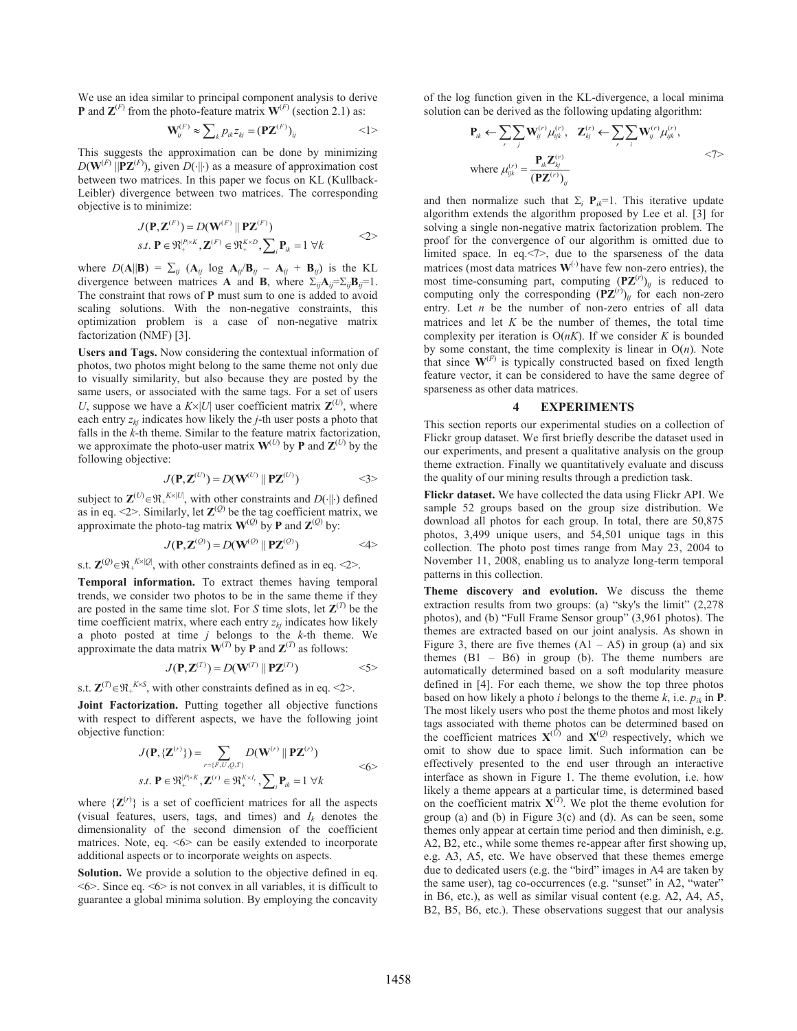We use an idea similar to principal component analysis to derive **P** and  $\mathbf{Z}^{(F)}$  from the photo-feature matrix  $\mathbf{W}^{(F)}$  (section 2.1) as:

$$
\mathbf{W}_{ij}^{(F)} \approx \sum_{k} p_{ik} z_{kj} = (\mathbf{P} \mathbf{Z}^{(F)})_{ij} \qquad \qquad \leq 1 >
$$

This suggests the approximation can be done by minimizing  $D(\mathbf{W}^{(F)}||\mathbf{P}\mathbf{Z}^{(F)})$ , given  $D(\cdot||\cdot)$  as a measure of approximation cost between two matrices. In this paper we focus on KL (Kullback-Leibler) divergence between two matrices. The corresponding objective is to minimize:

$$
J(\mathbf{P}, \mathbf{Z}^{(F)}) = D(\mathbf{W}^{(F)} \parallel \mathbf{P} \mathbf{Z}^{(F)})
$$
  
s.t. 
$$
\mathbf{P} \in \mathfrak{R}_{+}^{|P| \times K}, \mathbf{Z}^{(F)} \in \mathfrak{R}_{+}^{K \times D}, \sum_{i} \mathbf{P}_{ik} = 1 \ \forall k
$$

where  $D(A||B) = \sum_{ij} (A_{ij} \log A_{ij}/B_{ij} - A_{ij} + B_{ij})$  is the KL divergence between matrices **A** and **B**, where  $\sum_{i} A_{i} = \sum_{i} B_{i} = 1$ . The constraint that rows of **P** must sum to one is added to avoid scaling solutions. With the non-negative constraints, this optimization problem is a case of non-negative matrix factorization (NMF) [3].

**Users and Tags.** Now considering the contextual information of photos, two photos might belong to the same theme not only due to visually similarity, but also because they are posted by the same users, or associated with the same tags. For a set of users *U*, suppose we have a  $K \times |U|$  user coefficient matrix  $\mathbf{Z}^{(U)}$ , where each entry  $z_{ki}$  indicates how likely the *j*-th user posts a photo that falls in the *k*-th theme. Similar to the feature matrix factorization, we approximate the photo-user matrix  $W^{(U)}$  by **P** and  $Z^{(U)}$  by the following objective:

$$
J(\mathbf{P}, \mathbf{Z}^{(U)}) = D(\mathbf{W}^{(U)} \parallel \mathbf{P} \mathbf{Z}^{(U)}) \tag{3}
$$

subject to  $\mathbf{Z}^{(U)} \in \mathfrak{R}_+^{K \times |U|}$ , with other constraints and  $D(\cdot \| \cdot)$  defined as in eq.  $\leq$ 2>. Similarly, let  $\mathbb{Z}^{(Q)}$  be the tag coefficient matrix, we approximate the photo-tag matrix  $W^{(Q)}$  by **P** and  $Z^{(Q)}$  by:

$$
J(\mathbf{P}, \mathbf{Z}^{(Q)}) = D(\mathbf{W}^{(Q)} \parallel \mathbf{P} \mathbf{Z}^{(Q)}) \tag{4}
$$

s.t.  $\mathbf{Z}^{(Q)} \in \mathbb{R}_+^{K \times |Q|}$ , with other constraints defined as in eq. <2>.

**Temporal information.** To extract themes having temporal trends, we consider two photos to be in the same theme if they are posted in the same time slot. For *S* time slots, let  $\mathbf{Z}^{(T)}$  be the time coefficient matrix, where each entry  $z_{ki}$  indicates how likely a photo posted at time *j* belongs to the *k*-th theme. We approximate the data matrix  $\mathbf{W}^{(T)}$  by **P** and  $\mathbf{Z}^{(T)}$  as follows:

$$
J(\mathbf{P}, \mathbf{Z}^{(T)}) = D(\mathbf{W}^{(T)} \parallel \mathbf{P} \mathbf{Z}^{(T)}) \tag{5}
$$

s.t.  $\mathbf{Z}^{(T)} \in \mathbb{R}_+^{K \times S}$ , with other constraints defined as in eq. <2>.

**Joint Factorization.** Putting together all objective functions with respect to different aspects, we have the following joint objective function:

$$
J(\mathbf{P}, \{\mathbf{Z}^{(r)}\}) = \sum_{r=\{F, U, Q, T\}} D(\mathbf{W}^{(r)} \parallel \mathbf{P}\mathbf{Z}^{(r)})
$$
  
s.t.  $\mathbf{P} \in \mathfrak{R}_{+}^{|P| \times K}, \mathbf{Z}^{(r)} \in \mathfrak{R}_{+}^{K \times I_r}, \sum_{i} P_{ik} = 1 \ \forall k$ 

where  $\{Z^{(r)}\}$  is a set of coefficient matrices for all the aspects (visual features, users, tags, and times) and  $I_k$  denotes the dimensionality of the second dimension of the coefficient matrices. Note, eq. <6> can be easily extended to incorporate additional aspects or to incorporate weights on aspects.

**Solution.** We provide a solution to the objective defined in eq.  $\leq 6$ . Since eq.  $\leq 6$  is not convex in all variables, it is difficult to guarantee a global minima solution. By employing the concavity of the log function given in the KL-divergence, a local minima solution can be derived as the following updating algorithm:

$$
\mathbf{P}_{ik} \leftarrow \sum_{r} \sum_{j} \mathbf{W}_{ij}^{(r)} \mu_{ijk}^{(r)}, \quad \mathbf{Z}_{kj}^{(r)} \leftarrow \sum_{r} \sum_{i} \mathbf{W}_{ij}^{(r)} \mu_{ijk}^{(r)},
$$
\n
$$
\text{where } \mu_{ijk}^{(r)} = \frac{\mathbf{P}_{ik} \mathbf{Z}_{kj}^{(r)}}{\left(\mathbf{P} \mathbf{Z}^{(r)}\right)_{ij}} \qquad \qquad \leq 7 \qquad \qquad \leq 7 \qquad \qquad \leq 7 \qquad \qquad \leq 7 \qquad \qquad \leq 7 \qquad \qquad \leq 7 \qquad \qquad \leq 7 \qquad \qquad \leq 7 \qquad \qquad \leq 7 \qquad \qquad \leq 7 \qquad \qquad \leq 7 \qquad \qquad \leq 7 \qquad \qquad \leq 7 \qquad \qquad \leq 7 \qquad \qquad \leq 7 \qquad \qquad \leq 7 \qquad \qquad \leq 7 \qquad \qquad \leq 7 \qquad \qquad \leq 7 \qquad \qquad \leq 7 \qquad \qquad \leq 7 \qquad \qquad \leq 7 \qquad \qquad \leq 7 \qquad \qquad \leq 7 \qquad \qquad \leq 7 \qquad \qquad \leq 7 \qquad \qquad \leq 7 \qquad \qquad \leq 7 \qquad \qquad \leq 7 \qquad \qquad \leq 7 \qquad \qquad \leq 7 \qquad \qquad \leq 7 \qquad \qquad \leq 7 \qquad \qquad \leq 7 \qquad \qquad \leq 7 \qquad \qquad \leq 7 \qquad \qquad \leq 7 \qquad \qquad \leq 7 \qquad \qquad \leq 7 \qquad \qquad \leq 7 \qquad \qquad \leq 7 \qquad \qquad \leq 7 \qquad \qquad \leq 7 \qquad \qquad \leq 7 \qquad \qquad \leq 7 \qquad \qquad \leq 7 \qquad \qquad \leq 7 \qquad \qquad \leq 7 \qquad \qquad \leq 7 \qquad \qquad \leq 7 \qquad \qquad \leq 7 \qquad \qquad \leq 7 \qquad \qquad \leq 7 \qquad \qquad \leq 7 \qquad \qquad
$$

and then normalize such that  $\Sigma_i$  **P**<sub>ik</sub>=1. This iterative update algorithm extends the algorithm proposed by Lee et al. [3] for solving a single non-negative matrix factorization problem. The proof for the convergence of our algorithm is omitted due to limited space. In eq.<7>, due to the sparseness of the data matrices (most data matrices  $W^{(1)}$  have few non-zero entries), the most time-consuming part, computing  $(\mathbf{P}\mathbf{Z}^{(r)})_{ij}$  is reduced to computing only the corresponding  $(\mathbf{PZ}^{(r)})_{ij}$  for each non-zero entry. Let *n* be the number of non-zero entries of all data matrices and let *K* be the number of themes, the total time complexity per iteration is  $O(nK)$ . If we consider *K* is bounded by some constant, the time complexity is linear in  $O(n)$ . Note that since  $W^{(F)}$  is typically constructed based on fixed length feature vector, it can be considered to have the same degree of sparseness as other data matrices.

### **4 EXPERIMENTS**

This section reports our experimental studies on a collection of Flickr group dataset. We first briefly describe the dataset used in our experiments, and present a qualitative analysis on the group theme extraction. Finally we quantitatively evaluate and discuss the quality of our mining results through a prediction task.

**Flickr dataset.** We have collected the data using Flickr API. We sample 52 groups based on the group size distribution. We download all photos for each group. In total, there are 50,875 photos, 3,499 unique users, and 54,501 unique tags in this collection. The photo post times range from May 23, 2004 to November 11, 2008, enabling us to analyze long-term temporal patterns in this collection.

**Theme discovery and evolution.** We discuss the theme extraction results from two groups: (a) "sky's the limit" (2,278 photos), and (b) "Full Frame Sensor group" (3,961 photos). The themes are extracted based on our joint analysis. As shown in Figure 3, there are five themes  $(A1 - A5)$  in group (a) and six themes  $(B1 - B6)$  in group  $(b)$ . The theme numbers are automatically determined based on a soft modularity measure defined in [4]. For each theme, we show the top three photos based on how likely a photo *i* belongs to the theme  $k$ , i.e.  $p_{ik}$  in **P**. The most likely users who post the theme photos and most likely tags associated with theme photos can be determined based on the coefficient matrices  $X^{(U)}$  and  $X^{(Q)}$  respectively, which we omit to show due to space limit. Such information can be effectively presented to the end user through an interactive interface as shown in Figure 1. The theme evolution, i.e. how likely a theme appears at a particular time, is determined based on the coefficient matrix  $X^{(T)}$ . We plot the theme evolution for group (a) and (b) in Figure 3(c) and (d). As can be seen, some themes only appear at certain time period and then diminish, e.g. A2, B2, etc., while some themes re-appear after first showing up, e.g. A3, A5, etc. We have observed that these themes emerge due to dedicated users (e.g. the "bird" images in A4 are taken by the same user), tag co-occurrences (e.g. "sunset" in A2, "water" in B6, etc.), as well as similar visual content (e.g. A2, A4, A5, B2, B5, B6, etc.). These observations suggest that our analysis